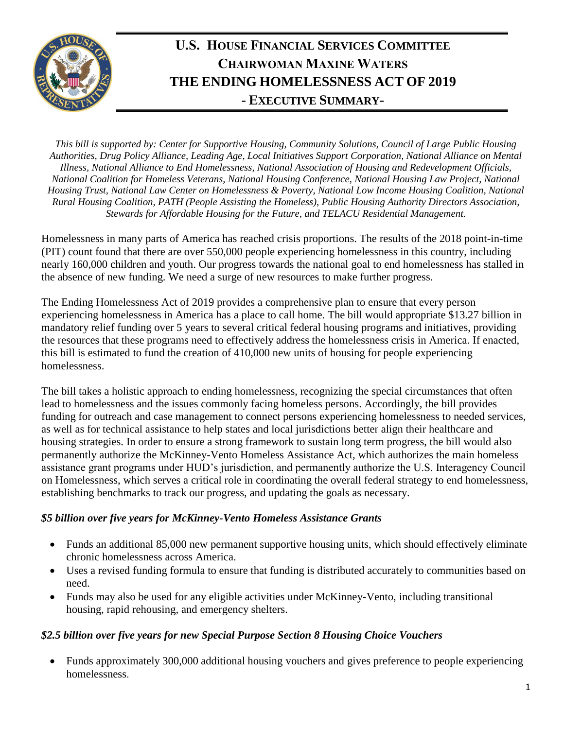

# **U.S. HOUSE FINANCIAL SERVICES COMMITTEE CHAIRWOMAN MAXINE WATERS THE ENDING HOMELESSNESS ACT OF 2019 - EXECUTIVE SUMMARY-**

*This bill is supported by: Center for Supportive Housing, Community Solutions, Council of Large Public Housing Authorities, Drug Policy Alliance, Leading Age, Local Initiatives Support Corporation, National Alliance on Mental Illness, National Alliance to End Homelessness, National Association of Housing and Redevelopment Officials, National Coalition for Homeless Veterans, National Housing Conference, National Housing Law Project, National Housing Trust, National Law Center on Homelessness & Poverty, National Low Income Housing Coalition, National Rural Housing Coalition, PATH (People Assisting the Homeless), Public Housing Authority Directors Association, Stewards for Affordable Housing for the Future, and TELACU Residential Management.* 

Homelessness in many parts of America has reached crisis proportions. The results of the 2018 point-in-time (PIT) count found that there are over 550,000 people experiencing homelessness in this country, including nearly 160,000 children and youth. Our progress towards the national goal to end homelessness has stalled in the absence of new funding. We need a surge of new resources to make further progress.

The Ending Homelessness Act of 2019 provides a comprehensive plan to ensure that every person experiencing homelessness in America has a place to call home. The bill would appropriate \$13.27 billion in mandatory relief funding over 5 years to several critical federal housing programs and initiatives, providing the resources that these programs need to effectively address the homelessness crisis in America. If enacted, this bill is estimated to fund the creation of 410,000 new units of housing for people experiencing homelessness.

The bill takes a holistic approach to ending homelessness, recognizing the special circumstances that often lead to homelessness and the issues commonly facing homeless persons. Accordingly, the bill provides funding for outreach and case management to connect persons experiencing homelessness to needed services, as well as for technical assistance to help states and local jurisdictions better align their healthcare and housing strategies. In order to ensure a strong framework to sustain long term progress, the bill would also permanently authorize the McKinney-Vento Homeless Assistance Act, which authorizes the main homeless assistance grant programs under HUD's jurisdiction, and permanently authorize the U.S. Interagency Council on Homelessness, which serves a critical role in coordinating the overall federal strategy to end homelessness, establishing benchmarks to track our progress, and updating the goals as necessary.

## *\$5 billion over five years for McKinney-Vento Homeless Assistance Grants*

- Funds an additional 85,000 new permanent supportive housing units, which should effectively eliminate chronic homelessness across America.
- Uses a revised funding formula to ensure that funding is distributed accurately to communities based on need.
- Funds may also be used for any eligible activities under McKinney-Vento, including transitional housing, rapid rehousing, and emergency shelters.

## *\$2.5 billion over five years for new Special Purpose Section 8 Housing Choice Vouchers*

• Funds approximately 300,000 additional housing vouchers and gives preference to people experiencing homelessness.